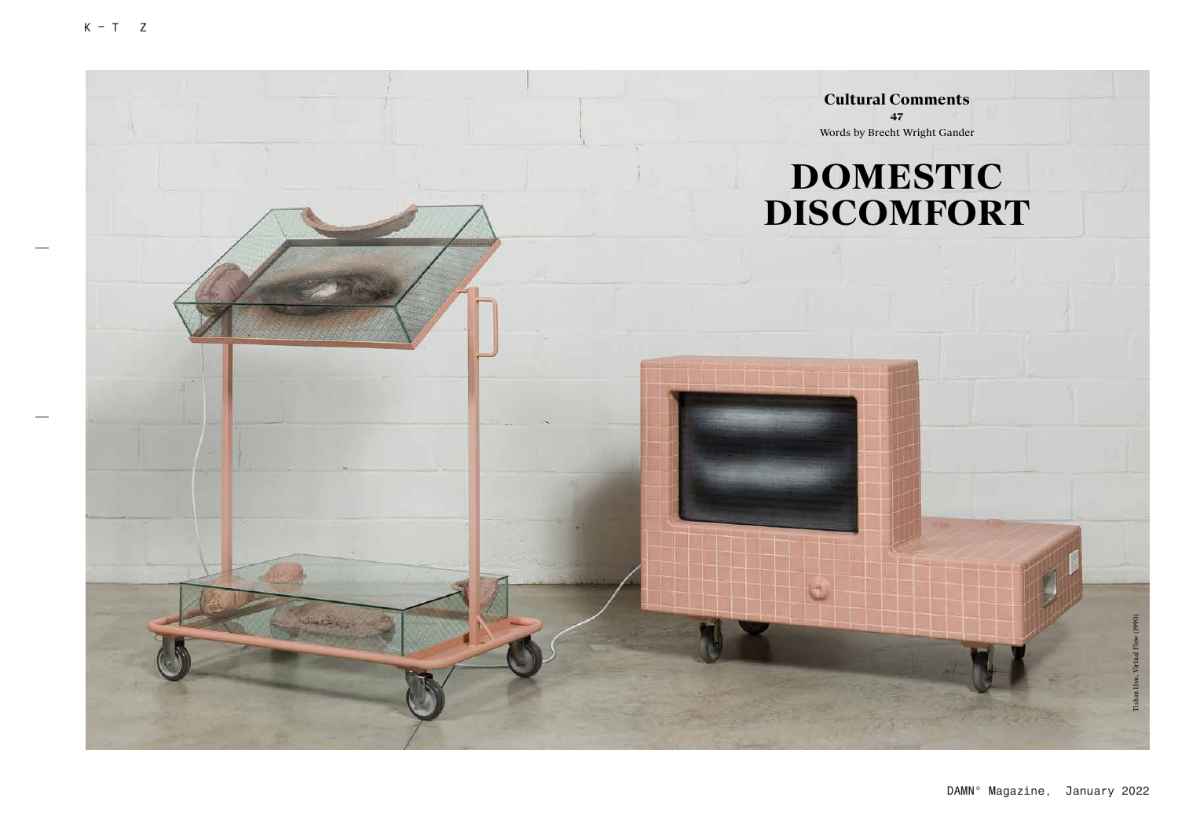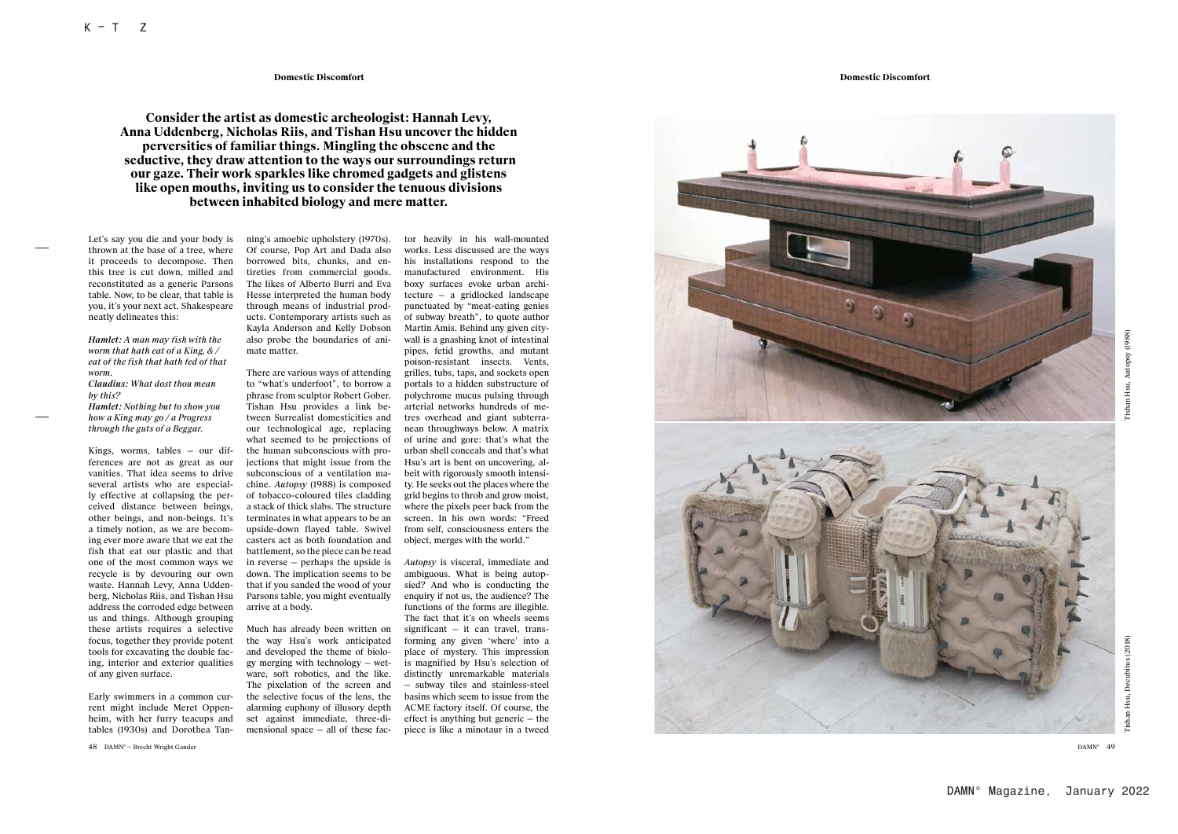**Domestic Discomfort**

#### **Domestic Discomfort**

**Consider the artist as domestic archeologist: Hannah Levy, Anna Uddenberg, Nicholas Riis, and Tishan Hsu uncover the hidden perversities of familiar things. Mingling the obscene and the seductive, they draw attention to the ways our surroundings return our gaze. Their work sparkles like chromed gadgets and glistens like open mouths, inviting us to consider the tenuous divisions between inhabited biology and mere matter.**

Let's say you die and your body is thrown at the base of a tree, where it proceeds to decompose. Then this tree is cut down, milled and reconstituted as a generic Parsons table. Now, to be clear, that table is you, it's your next act. Shakespeare neatly delineates this:

*Hamlet: A man may fish with the worm that hath eat of a King, & / eat of the fish that hath fed of that worm. Claudius: What dost thou mean by this? Hamlet: Nothing but to show you how a King may go / a Progress* 

*through the guts of a Beggar.* 

Kings, worms, tables — our dif ferences are not as great as our vanities. That idea seems to drive several artists who are especial ly effective at collapsing the per ceived distance between beings, other beings, and non-beings. It's a timely notion, as we are becom ing ever more aware that we eat the fish that eat our plastic and that one of the most common ways we recycle is by devouring our own waste. Hannah Levy, Anna Udden berg, Nicholas Riis, and Tishan Hsu address the corroded edge between us and things. Although grouping these artists requires a selective focus, together they provide potent tools for excavating the double fac ing, interior and exterior qualities of any given surface.

Early swimmers in a common cur rent might include Meret Oppen heim, with her furry teacups and tables (1930s) and Dorothea Tan -

48 DAMN® – Brecht Wright Gander National American States of the AMN® 49 DAMN® – AMN® – AMN® – AMN® – AMN® – AMN® – AMN® – AMN® – AMN® – AMN® – AMN® – AMN® – AMN® – AMN® – AMN® – AMN® – AMN® – AMN® – AMN® – AMN® – AMN® – AM 48 DAMN° - Brecht Wright Gander — Brecht Wright Gander **Example 2008** — Brecht Wright Gander **DAMN°** — DAMN° — DAMN° — DAMN° — DAMN° — DAMN° — DAMN° — DAMN° — DAMN° — DAMN° — DAMN° — DAMN° — DAMN° — DAMN° — DAMN° — DAMN° — DAMN° — DAMN° — DAMN° — DAMN° —

ning's amoebic upholstery (1970s). Of course, Pop Art and Dada also borrowed bits, chunks, and en tireties from commercial goods. The likes of Alberto Burri and Eva Hesse interpreted the human body through means of industrial prod ucts. Contemporary artists such as Kayla Anderson and Kelly Dobson also probe the boundaries of ani mate matter.

There are various ways of attending to "what's underfoot", to borrow a phrase from sculptor Robert Gober. Tishan Hsu provides a link be tween Surrealist domesticities and our technological age, replacing what seemed to be projections of the human subconscious with pro jections that might issue from the subconscious of a ventilation ma chine. *Autopsy* (1988) is composed of tobacco-coloured tiles cladding a stack of thick slabs. The structure terminates in what appears to be an upside-down flayed table. Swivel casters act as both foundation and battlement, so the piece can be read in reverse — perhaps the upside is down. The implication seems to be that if you sanded the wood of your Parsons table, you might eventually arrive at a body.

Much has already been written on the way Hsu's work anticipated and developed the theme of biolo gy merging with technology — wet ware, soft robotics, and the like. The pixelation of the screen and the selective focus of the lens, the alarming euphony of illusory depth set against immediate, three-di mensional space — all of these fac -

tor heavily in his wall-mounted works. Less discussed are the ways his installations respond to the manufactured environment. His boxy surfaces evoke urban archi tecture – a gridlocked landscape punctuated by "meat-eating genies of subway breath", to quote author Martin Amis. Behind any given citywall is a gnashing knot of intestinal pipes, fetid growths, and mutant poison-resistant insects. Vents, grilles, tubs, taps, and sockets open portals to a hidden substructure of polychrome mucus pulsing through arterial networks hundreds of me tres overhead and giant subterra nean throughways below. A matrix of urine and gore: that's what the urban shell conceals and that's what Hsu's art is bent on uncovering, al beit with rigorously smooth intensi ty. He seeks out the places where the grid begins to throb and grow moist, where the pixels peer back from the screen. In his own words: "Freed from self, consciousness enters the object, merges with the world."

*Autopsy* is visceral, immediate and ambiguous. What is being autop sied? And who is conducting the enquiry if not us, the audience? The functions of the forms are illegible. The fact that it's on wheels seems significant — it can travel, trans forming any given 'where' into a place of mystery. This impression is magnified by Hsu's selection of distinctly unremarkable materials — subway tiles and stainless-steel basins which seem to issue from the ACME factory itself. Of course, the effect is anything but generic — the piece is like a minotaur in a tweed

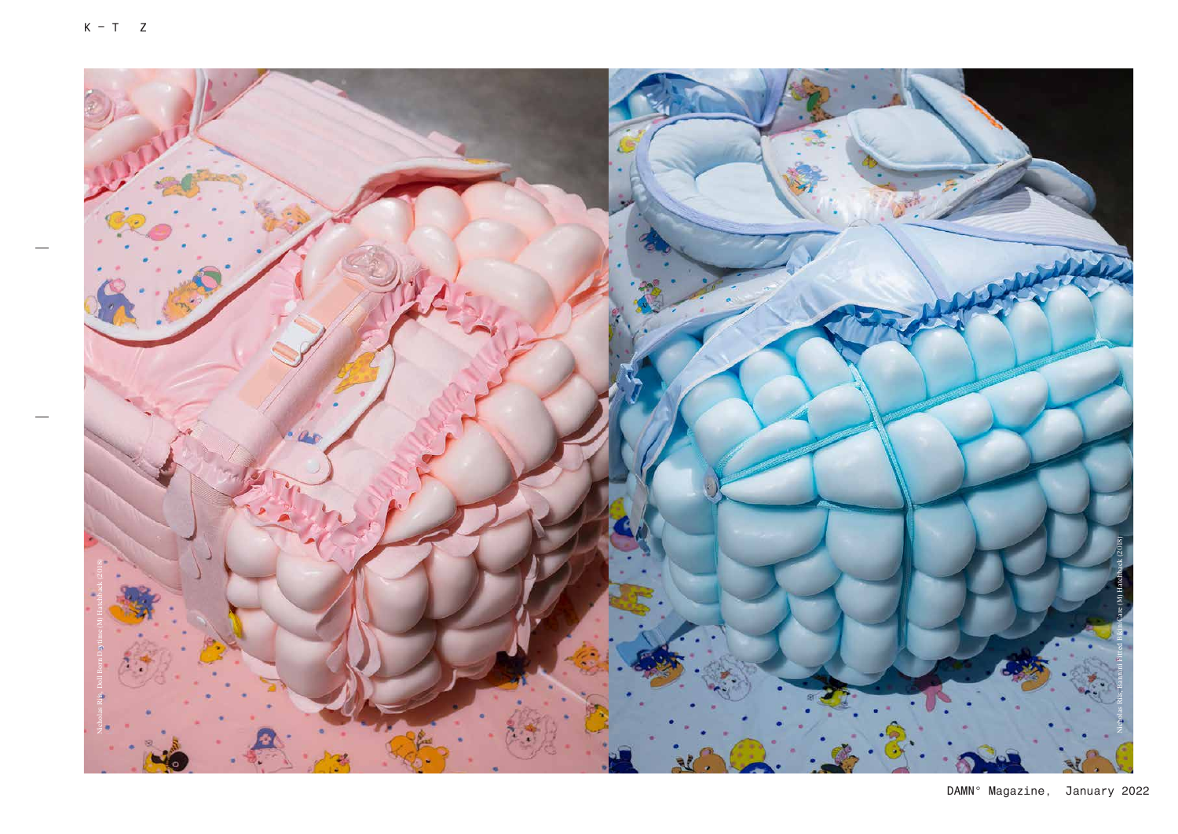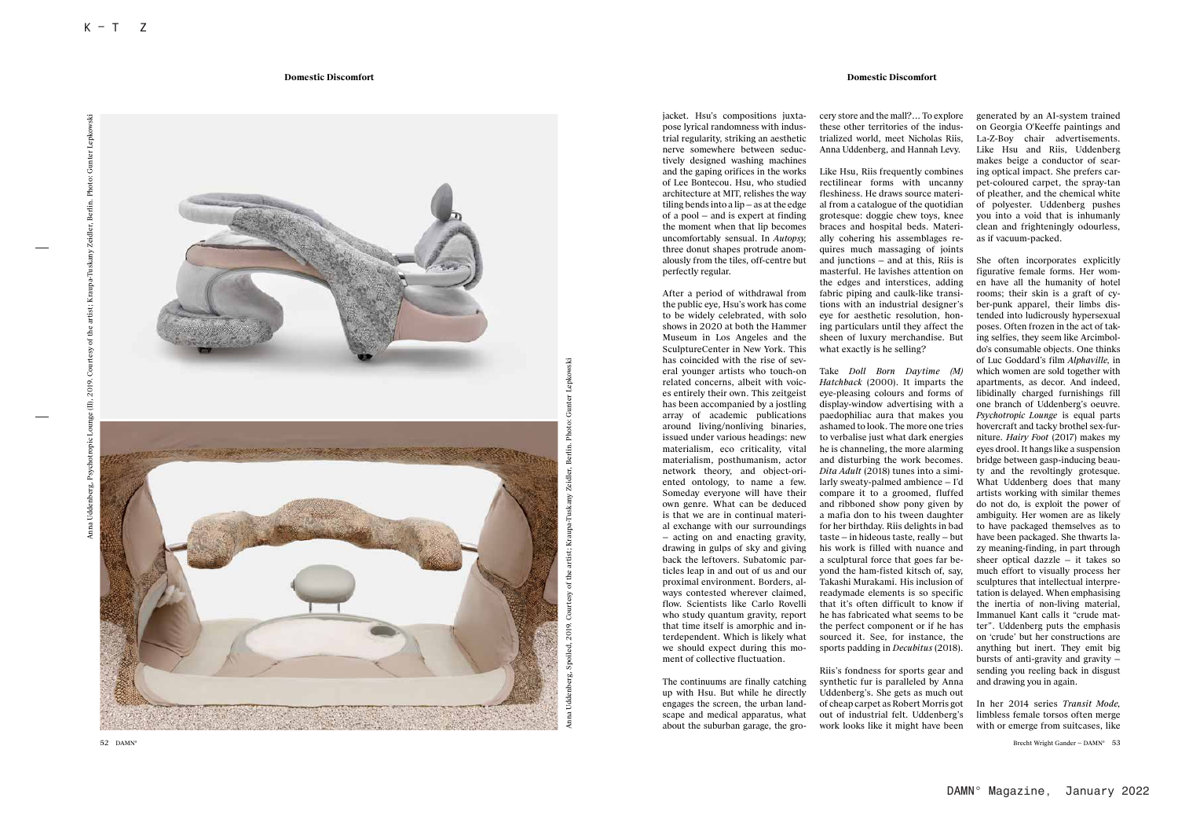Anna Uddenberg, Psychotropic Lounge (II), 2019. Courtesy of the artist; Kraupa-Tuskany Zeidler, Berlin. Photo: Gunter Lepkowski

(II), 2019.

erg, Psy

artist; of the esy Court

inter Lepko

### **Domestic Discomfort**

jacket. Hsu's compositions juxta -

pose lyrical randomness with indus trial regularity, striking an aesthetic nerve somewhere between seduc tively designed washing machines and the gaping orifices in the works of Lee Bontecou. Hsu, who studied architecture at MIT, relishes the way tiling bends into a lip — as at the edge of a pool — and is expert at finding the moment when that lip becomes uncomfortably sensual. In *Autopsy,* three donut shapes protrude anom alously from the tiles, off-centre but perfectly regular. Anna Uddenberg, and Hannah Levy.

After a period of withdrawal from the public eye, Hsu's work has come to be widely celebrated, with solo shows in 2020 at both the Hammer Museum in Los Angeles and the SculptureCenter in New York. This has coincided with the rise of sev eral younger artists who touch-on related concerns, albeit with voic es entirely their own. This zeitgeist has been accompanied by a jostling array of academic publications around living/nonliving binaries, issued under various headings: new materialism, eco criticality, vital materialism, posthumanism, actor network theory, and object-ori ented ontology, to name a few. Someday everyone will have their own genre. What can be deduced is that we are in continual materi al exchange with our surroundings — acting on and enacting gravity, drawing in gulps of sky and giving back the leftovers. Subatomic par ticles leap in and out of us and our proximal environment. Borders, al ways contested wherever claimed, flow. Scientists like Carlo Rovelli who study quantum gravity, report that time itself is amorphic and in terdependent. Which is likely what we should expect during this mo ment of collective fluctuation.

Anna Uddenberg, Spoiled, 2019. Courtesy of the artist; Kraupa-Tuskany Zeidler, Berlin. Photo: Gunter Lepkowski

rg, Spoiled, 2019. Courtesy

Jdde  $\overline{a}$ 

ist; Kraupa-Tu Ē of the

er Lepkov

ē Photo:

Zeidler, Ber

ੇ

The continuums are finally catching up with Hsu. But while he directly engages the screen, the urban land scape and medical apparatus, what about the suburban garage, the gro -

# cery store and the mall?... To explore these other territories of the indus trialized world, meet Nicholas Riis,

**Domestic Discomfort**

Like Hsu, Riis frequently combines rectilinear forms with uncanny fleshiness. He draws source materi al from a catalogue of the quotidian grotesque: doggie chew toys, knee braces and hospital beds. Materi ally cohering his assemblages re quires much massaging of joints and junctions — and at this, Riis is masterful. He lavishes attention on the edges and interstices, adding fabric piping and caulk-like transi tions with an industrial designer's eye for aesthetic resolution, hon ing particulars until they affect the sheen of luxury merchandise. But what exactly is he selling?

Take *Doll Born Daytime (M) Hatchback* (2000). It imparts the eye-pleasing colours and forms of display-window advertising with a paedophiliac aura that makes you ashamed to look. The more one tries to verbalise just what dark energies he is channeling, the more alarming and disturbing the work becomes. *Dita Adult* (2018) tunes into a simi larly sweaty-palmed ambience — I'd compare it to a groomed, fluffed and ribboned show pony given by a mafia don to his tween daughter for her birthday. Riis delights in bad taste — in hideous taste, really — but his work is filled with nuance and a sculptural force that goes far be yond the ham-fisted kitsch of, say, Takashi Murakami. His inclusion of readymade elements is so specific that it's often difficult to know if he has fabricated what seems to be the perfect component or if he has sourced it. See, for instance, the sports padding in *Decubitus* (2018).

Riis's fondness for sports gear and synthetic fur is paralleled by Anna Uddenberg's. She gets as much out of cheap carpet as Robert Morris got out of industrial felt. Uddenberg's work looks like it might have been

generated by an AI-system trained on Georgia O'Keeffe paintings and La-Z-Boy chair advertisements. Like Hsu and Riis, Uddenberg makes beige a conductor of sear ing optical impact. She prefers car pet-coloured carpet, the spray-tan of pleather, and the chemical white of polyester. Uddenberg pushes you into a void that is inhumanly clean and frighteningly odourless, as if vacuum-packed.

She often incorporates explicitly figurative female forms. Her wom en have all the humanity of hotel rooms; their skin is a graft of cy ber-punk apparel, their limbs dis tended into ludicrously hypersexual poses. Often frozen in the act of taking selfies, they seem like Arcimboldo's consumable objects. One thinks of Luc Goddard's film *Alphaville,* in which women are sold together with apartments, as decor. And indeed, libidinally charged furnishings fill one branch of Uddenberg's oeuvre. *Psychotropic Lounge* is equal parts hovercraft and tacky brothel sex-fur niture. *Hairy Foot* (2017) makes my eyes drool. It hangs like a suspension bridge between gasp-inducing beau ty and the revoltingly grotesque. What Uddenberg does that many artists working with similar themes do not do, is exploit the power of ambiguity. Her women are as likely to have packaged themselves as to have been packaged. She thwarts la zy meaning-finding, in part through sheer optical dazzle — it takes so much effort to visually process her sculptures that intellectual interpre tation is delayed. When emphasising the inertia of non-living material, Immanuel Kant calls it "crude mat ter". Uddenberg puts the emphasis on 'crude' but her constructions are anything but inert. They emit big bursts of anti-gravity and gravity sending you reeling back in disgust and drawing you in again.

In her 2014 series *Transit Mode,* limbless female torsos often merge with or emerge from suitcases, like

52 DAMN° STRICH Wright Gander - DAMN° 52 DAMN° 53 DAMN° Brecht Wright Gander Brecht Wright Gander - DAMN° 53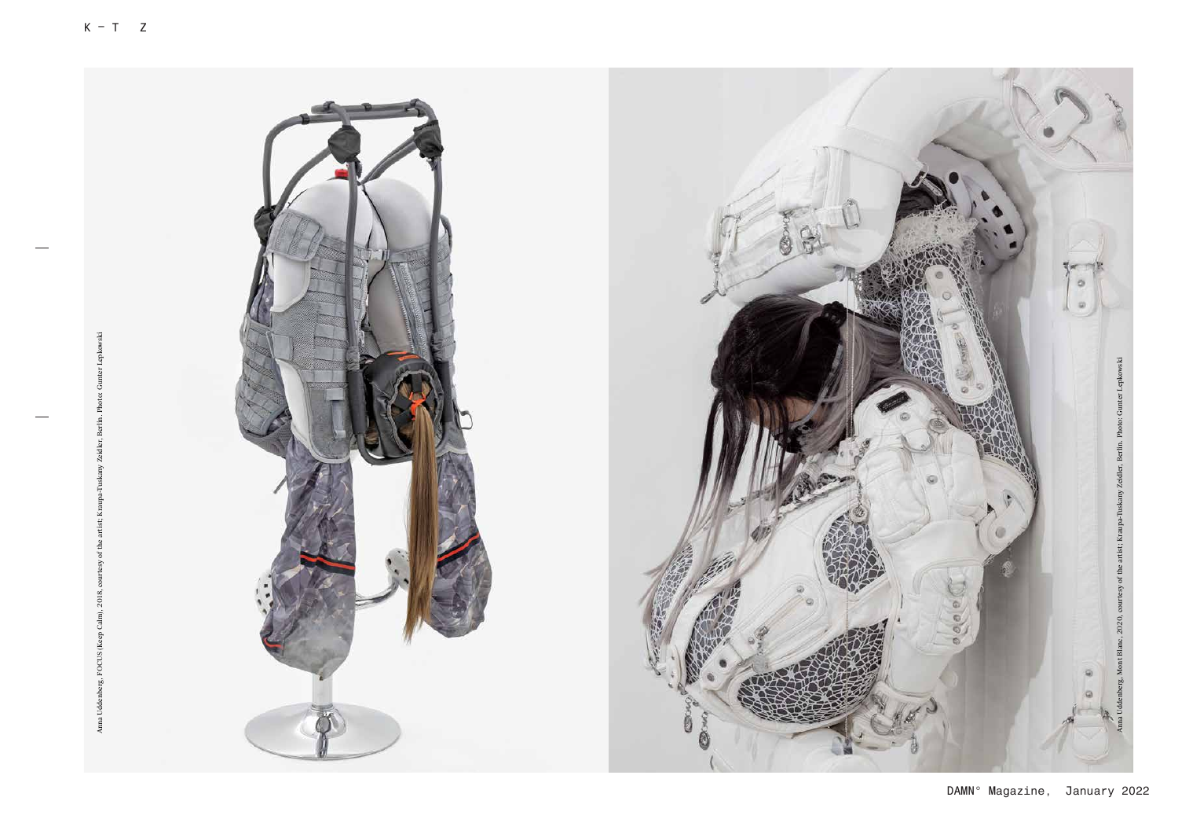